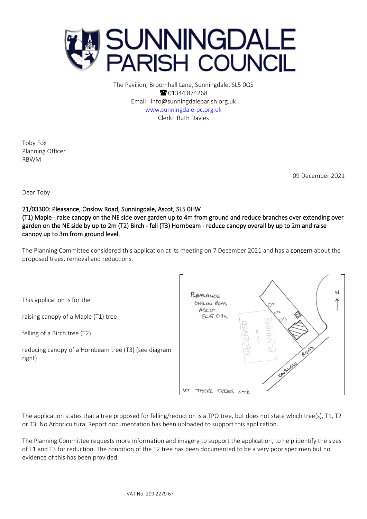

The Pavilion, Broomhall Lane, Sunningdale, SL5 0QS **8** 01344 874268 Email: info@sunningdaleparish.org.uk [www.sunningdale-pc.org.uk](http://www.sunningdale-pc.org.uk/) Clerk: Ruth Davies

Toby Fox Planning Officer RBWM

09 December 2021

Dear Toby

21/03300: Pleasance, Onslow Road, Sunningdale, Ascot, SL5 0HW (T1) Maple - raise canopy on the NE side over garden up to 4m from ground and reduce branches over extending over garden on the NE side by up to 2m (T2) Birch - fell (T3) Hornbeam - reduce canopy overall by up to 2m and raise canopy up to 3m from ground level.

The Planning Committee considered this application at its meeting on 7 December 2021 and has a concern about the proposed trees, removal and reductions.

This application is for the

raising canopy of a Maple (T1) tree

felling of a Birch tree (T2)

reducing canopy of a Hornbeam tree (T3) (see diagram right)



The application states that a tree proposed for felling/reduction is a TPO tree, but does not state which tree(s), T1, T2 or T3. No Arboricultural Report documentation has been uploaded to support this application.

The Planning Committee requests more information and imagery to support the application, to help identify the sizes of T1 and T3 for reduction. The condition of the T2 tree has been documented to be a very poor specimen but no evidence of this has been provided.